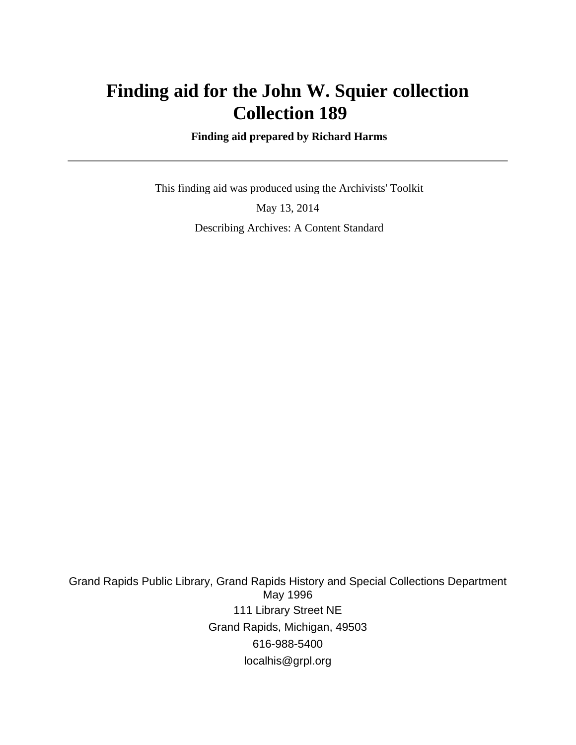# **Finding aid for the John W. Squier collection Collection 189**

 **Finding aid prepared by Richard Harms**

 This finding aid was produced using the Archivists' Toolkit May 13, 2014 Describing Archives: A Content Standard

Grand Rapids Public Library, Grand Rapids History and Special Collections Department May 1996 111 Library Street NE Grand Rapids, Michigan, 49503 616-988-5400 localhis@grpl.org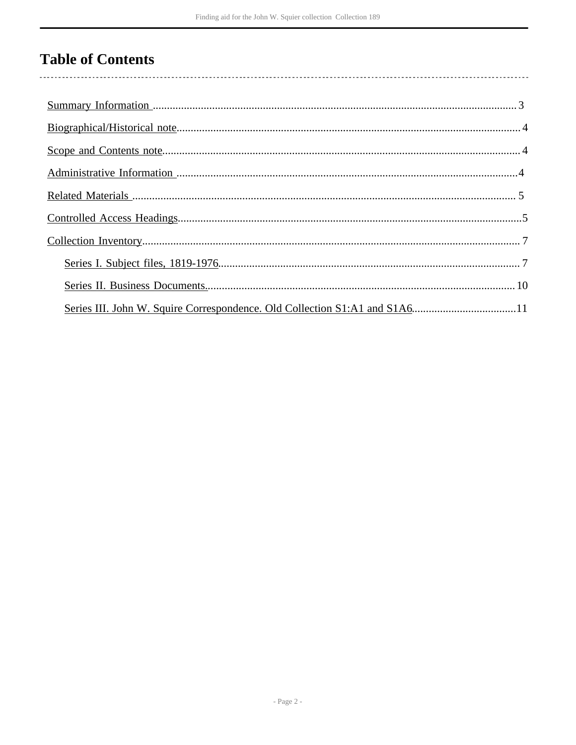# **Table of Contents**

| Series III. John W. Squire Correspondence. Old Collection S1:A1 and S1A611 |
|----------------------------------------------------------------------------|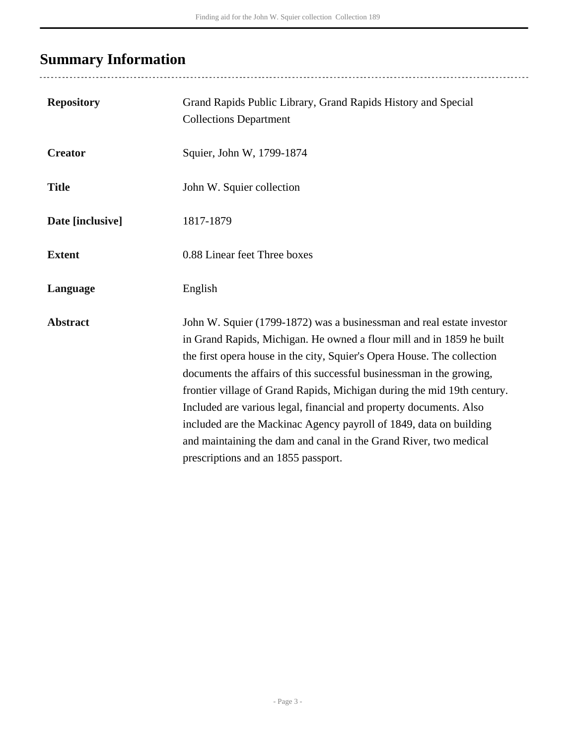# <span id="page-2-0"></span>**Summary Information**

| <b>Repository</b> | Grand Rapids Public Library, Grand Rapids History and Special<br><b>Collections Department</b>                                                                                                                                                                                                                                                                                                                                                                                                                                                                                                                                       |
|-------------------|--------------------------------------------------------------------------------------------------------------------------------------------------------------------------------------------------------------------------------------------------------------------------------------------------------------------------------------------------------------------------------------------------------------------------------------------------------------------------------------------------------------------------------------------------------------------------------------------------------------------------------------|
| <b>Creator</b>    | Squier, John W, 1799-1874                                                                                                                                                                                                                                                                                                                                                                                                                                                                                                                                                                                                            |
| <b>Title</b>      | John W. Squier collection                                                                                                                                                                                                                                                                                                                                                                                                                                                                                                                                                                                                            |
| Date [inclusive]  | 1817-1879                                                                                                                                                                                                                                                                                                                                                                                                                                                                                                                                                                                                                            |
| <b>Extent</b>     | 0.88 Linear feet Three boxes                                                                                                                                                                                                                                                                                                                                                                                                                                                                                                                                                                                                         |
| Language          | English                                                                                                                                                                                                                                                                                                                                                                                                                                                                                                                                                                                                                              |
| <b>Abstract</b>   | John W. Squier (1799-1872) was a businessman and real estate investor<br>in Grand Rapids, Michigan. He owned a flour mill and in 1859 he built<br>the first opera house in the city, Squier's Opera House. The collection<br>documents the affairs of this successful businessman in the growing,<br>frontier village of Grand Rapids, Michigan during the mid 19th century.<br>Included are various legal, financial and property documents. Also<br>included are the Mackinac Agency payroll of 1849, data on building<br>and maintaining the dam and canal in the Grand River, two medical<br>prescriptions and an 1855 passport. |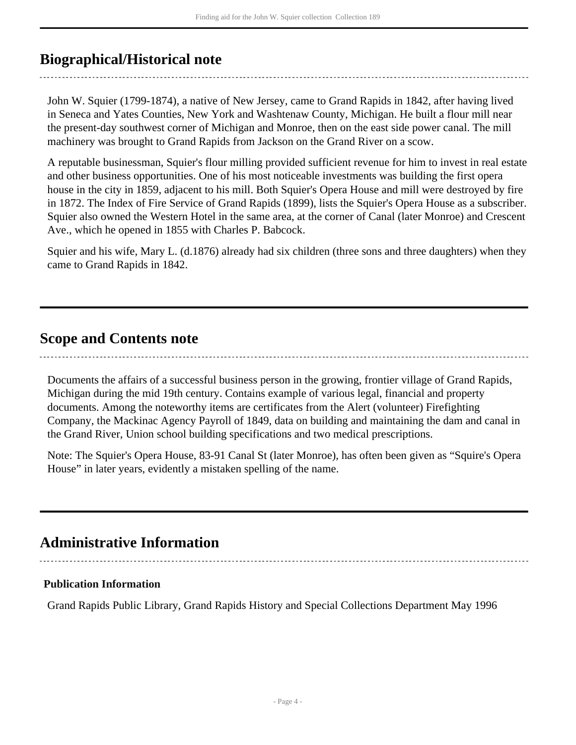## <span id="page-3-0"></span>**Biographical/Historical note**

John W. Squier (1799-1874), a native of New Jersey, came to Grand Rapids in 1842, after having lived in Seneca and Yates Counties, New York and Washtenaw County, Michigan. He built a flour mill near the present-day southwest corner of Michigan and Monroe, then on the east side power canal. The mill machinery was brought to Grand Rapids from Jackson on the Grand River on a scow.

A reputable businessman, Squier's flour milling provided sufficient revenue for him to invest in real estate and other business opportunities. One of his most noticeable investments was building the first opera house in the city in 1859, adjacent to his mill. Both Squier's Opera House and mill were destroyed by fire in 1872. The Index of Fire Service of Grand Rapids (1899), lists the Squier's Opera House as a subscriber. Squier also owned the Western Hotel in the same area, at the corner of Canal (later Monroe) and Crescent Ave., which he opened in 1855 with Charles P. Babcock.

Squier and his wife, Mary L. (d.1876) already had six children (three sons and three daughters) when they came to Grand Rapids in 1842.

### <span id="page-3-1"></span>**Scope and Contents note**

Documents the affairs of a successful business person in the growing, frontier village of Grand Rapids, Michigan during the mid 19th century. Contains example of various legal, financial and property documents. Among the noteworthy items are certificates from the Alert (volunteer) Firefighting Company, the Mackinac Agency Payroll of 1849, data on building and maintaining the dam and canal in

Note: The Squier's Opera House, 83-91 Canal St (later Monroe), has often been given as "Squire's Opera House" in later years, evidently a mistaken spelling of the name.

the Grand River, Union school building specifications and two medical prescriptions.

## <span id="page-3-2"></span>**Administrative Information**

### **Publication Information**

Grand Rapids Public Library, Grand Rapids History and Special Collections Department May 1996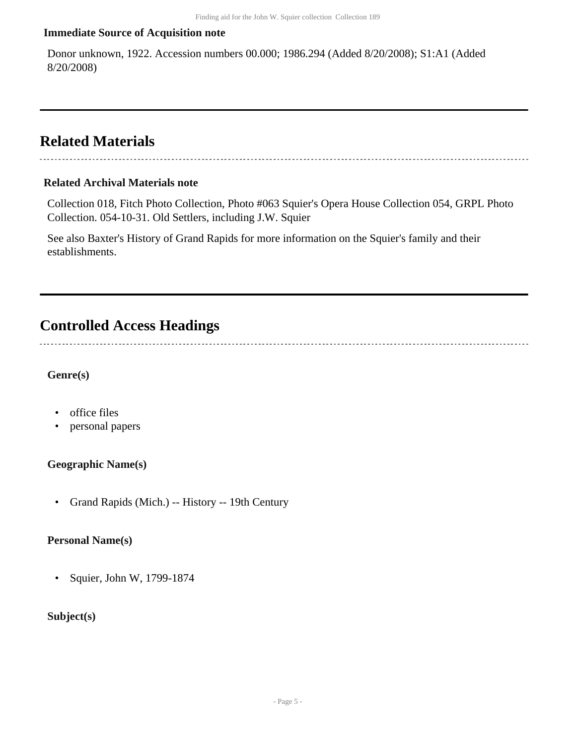#### **Immediate Source of Acquisition note**

Donor unknown, 1922. Accession numbers 00.000; 1986.294 (Added 8/20/2008); S1:A1 (Added 8/20/2008)

### <span id="page-4-0"></span>**Related Materials**

#### **Related Archival Materials note**

Collection 018, Fitch Photo Collection, Photo #063 Squier's Opera House Collection 054, GRPL Photo Collection. 054-10-31. Old Settlers, including J.W. Squier

See also Baxter's History of Grand Rapids for more information on the Squier's family and their establishments.

### <span id="page-4-1"></span>**Controlled Access Headings**

------------------------------

#### **Genre(s)**

- office files
- personal papers

#### **Geographic Name(s)**

• Grand Rapids (Mich.) -- History -- 19th Century

#### **Personal Name(s)**

• Squier, John W, 1799-1874

#### **Subject(s)**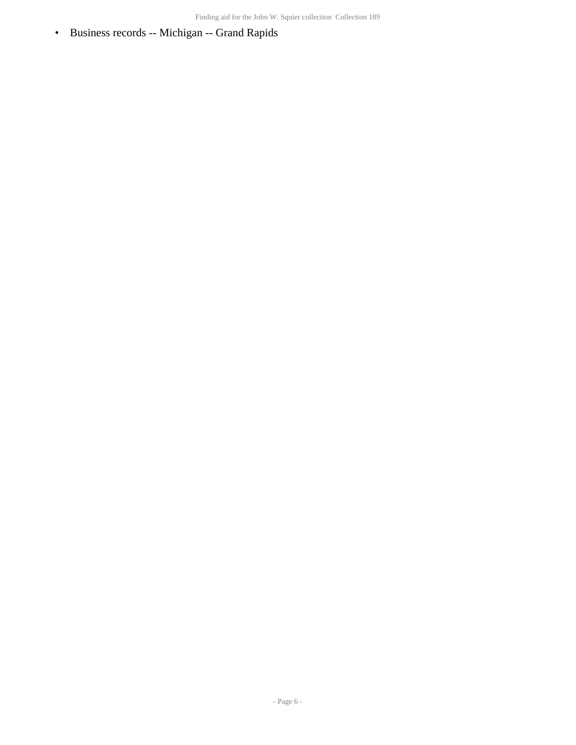• Business records -- Michigan -- Grand Rapids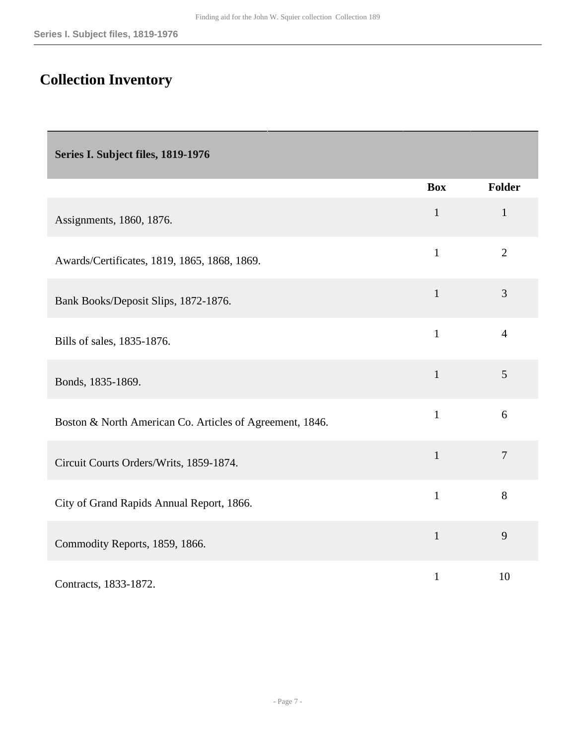## <span id="page-6-0"></span>**Collection Inventory**

<span id="page-6-1"></span>**Series I. Subject files, 1819-1976** 

|                                                          | <b>Box</b>   | <b>Folder</b>  |
|----------------------------------------------------------|--------------|----------------|
| Assignments, 1860, 1876.                                 | $\mathbf{1}$ | $\mathbf{1}$   |
| Awards/Certificates, 1819, 1865, 1868, 1869.             | $\mathbf{1}$ | $\overline{2}$ |
| Bank Books/Deposit Slips, 1872-1876.                     | $\mathbf{1}$ | 3              |
| Bills of sales, 1835-1876.                               | $\mathbf{1}$ | $\overline{4}$ |
| Bonds, 1835-1869.                                        | $\mathbf{1}$ | 5              |
| Boston & North American Co. Articles of Agreement, 1846. | $\mathbf{1}$ | 6              |
| Circuit Courts Orders/Writs, 1859-1874.                  | $\mathbf{1}$ | $\overline{7}$ |
| City of Grand Rapids Annual Report, 1866.                | $\mathbf{1}$ | 8              |
| Commodity Reports, 1859, 1866.                           | $\mathbf{1}$ | 9              |
| Contracts, 1833-1872.                                    | $\mathbf{1}$ | 10             |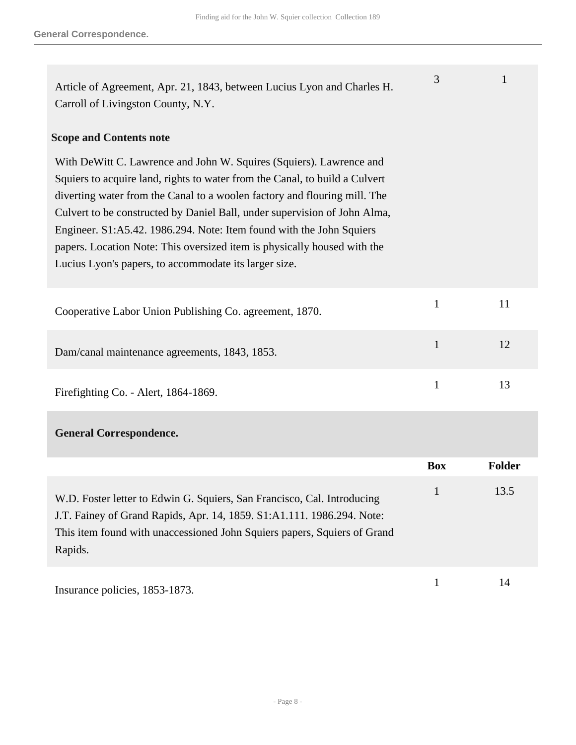| Article of Agreement, Apr. 21, 1843, between Lucius Lyon and Charles H.<br>Carroll of Livingston County, N.Y.                                                                                                                                                                                                                                                                                                                                                                                                             | 3            | 1             |
|---------------------------------------------------------------------------------------------------------------------------------------------------------------------------------------------------------------------------------------------------------------------------------------------------------------------------------------------------------------------------------------------------------------------------------------------------------------------------------------------------------------------------|--------------|---------------|
| <b>Scope and Contents note</b>                                                                                                                                                                                                                                                                                                                                                                                                                                                                                            |              |               |
| With DeWitt C. Lawrence and John W. Squires (Squiers). Lawrence and<br>Squiers to acquire land, rights to water from the Canal, to build a Culvert<br>diverting water from the Canal to a woolen factory and flouring mill. The<br>Culvert to be constructed by Daniel Ball, under supervision of John Alma,<br>Engineer. S1:A5.42. 1986.294. Note: Item found with the John Squiers<br>papers. Location Note: This oversized item is physically housed with the<br>Lucius Lyon's papers, to accommodate its larger size. |              |               |
| Cooperative Labor Union Publishing Co. agreement, 1870.                                                                                                                                                                                                                                                                                                                                                                                                                                                                   | $\mathbf{1}$ | 11            |
| Dam/canal maintenance agreements, 1843, 1853.                                                                                                                                                                                                                                                                                                                                                                                                                                                                             | $\mathbf{1}$ | 12            |
| Firefighting Co. - Alert, 1864-1869.                                                                                                                                                                                                                                                                                                                                                                                                                                                                                      | $\mathbf{1}$ | 13            |
| <b>General Correspondence.</b>                                                                                                                                                                                                                                                                                                                                                                                                                                                                                            |              |               |
|                                                                                                                                                                                                                                                                                                                                                                                                                                                                                                                           | <b>Box</b>   | <b>Folder</b> |
| W.D. Foster letter to Edwin G. Squiers, San Francisco, Cal. Introducing<br>J.T. Fainey of Grand Rapids, Apr. 14, 1859. S1:A1.111. 1986.294. Note:<br>This item found with unaccessioned John Squiers papers, Squiers of Grand<br>Rapids.                                                                                                                                                                                                                                                                                  | $\mathbf{1}$ | 13.5          |

Insurance policies, 1853-1873. 1 14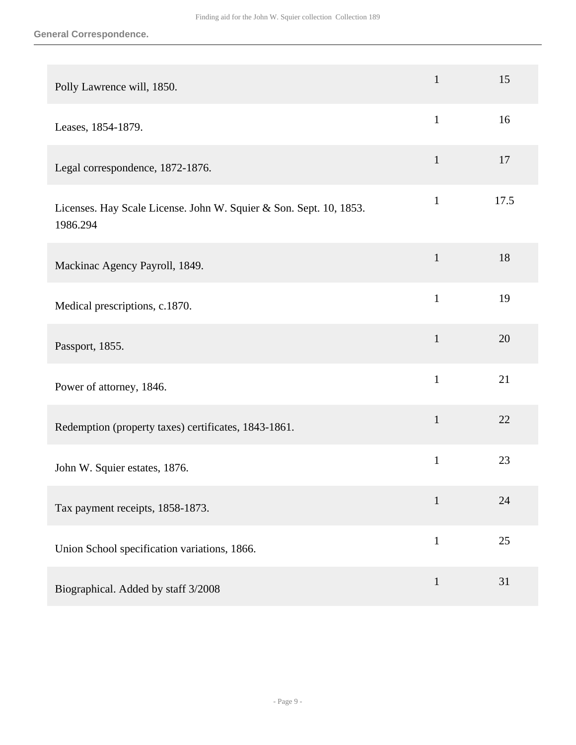| Polly Lawrence will, 1850.                                                     | $\mathbf{1}$ | 15   |
|--------------------------------------------------------------------------------|--------------|------|
| Leases, 1854-1879.                                                             | $\mathbf{1}$ | 16   |
| Legal correspondence, 1872-1876.                                               | $\mathbf{1}$ | 17   |
| Licenses. Hay Scale License. John W. Squier & Son. Sept. 10, 1853.<br>1986.294 | $\mathbf{1}$ | 17.5 |
| Mackinac Agency Payroll, 1849.                                                 | $\mathbf{1}$ | 18   |
| Medical prescriptions, c.1870.                                                 | $\mathbf{1}$ | 19   |
| Passport, 1855.                                                                | $\mathbf{1}$ | 20   |
| Power of attorney, 1846.                                                       | $\mathbf{1}$ | 21   |
| Redemption (property taxes) certificates, 1843-1861.                           | $\mathbf{1}$ | 22   |
| John W. Squier estates, 1876.                                                  | $\mathbf{1}$ | 23   |
| Tax payment receipts, 1858-1873.                                               | $\mathbf{1}$ | 24   |
| Union School specification variations, 1866.                                   | $\mathbf{1}$ | 25   |
| Biographical. Added by staff 3/2008                                            | $\mathbf{1}$ | 31   |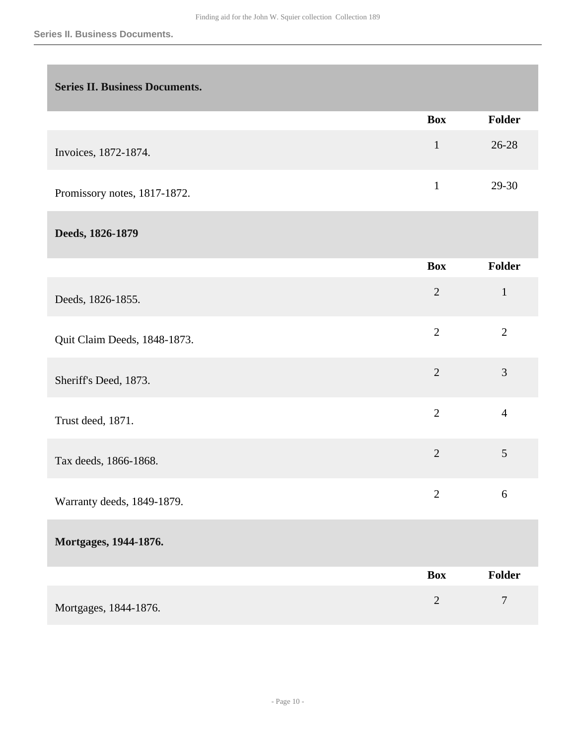<span id="page-9-0"></span>

| <b>Series II. Business Documents.</b> |                |                |
|---------------------------------------|----------------|----------------|
|                                       | <b>Box</b>     | Folder         |
| Invoices, 1872-1874.                  | $\mathbf{1}$   | 26-28          |
| Promissory notes, 1817-1872.          | $\mathbf{1}$   | 29-30          |
| Deeds, 1826-1879                      |                |                |
|                                       | <b>Box</b>     | Folder         |
| Deeds, 1826-1855.                     | $\overline{2}$ | $\mathbf{1}$   |
| Quit Claim Deeds, 1848-1873.          | $\overline{2}$ | $\overline{2}$ |
| Sheriff's Deed, 1873.                 | $\overline{2}$ | 3              |
| Trust deed, 1871.                     | $\overline{2}$ | $\overline{4}$ |
| Tax deeds, 1866-1868.                 | $\overline{2}$ | $\mathfrak{S}$ |
| Warranty deeds, 1849-1879.            | $\overline{2}$ | 6              |
| Mortgages, 1944-1876.                 |                |                |
|                                       | <b>Box</b>     | <b>Folder</b>  |
| Mortgages, 1844-1876.                 | $\overline{2}$ | $\tau$         |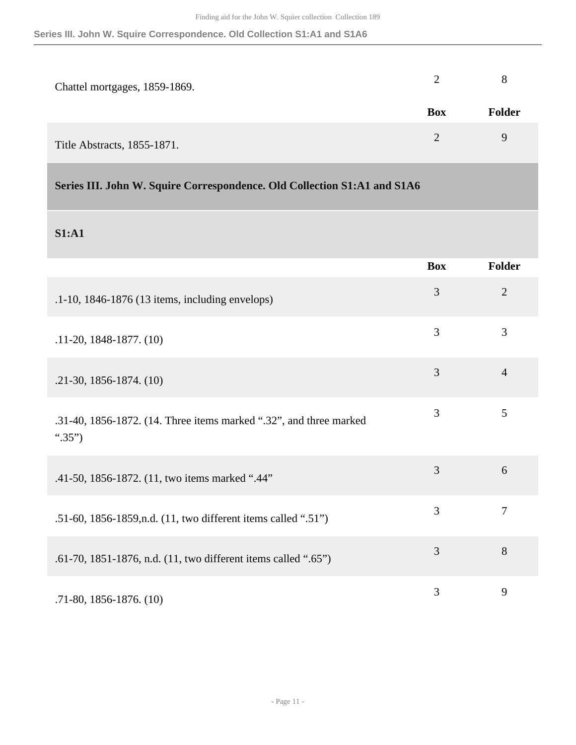**Series III. John W. Squire Correspondence. Old Collection S1:A1 and S1A6**

| Chattel mortgages, 1859-1869. |            |               |
|-------------------------------|------------|---------------|
|                               | <b>Box</b> | <b>Folder</b> |
| Title Abstracts, 1855-1871.   |            | 9             |

### <span id="page-10-0"></span>**Series III. John W. Squire Correspondence. Old Collection S1:A1 and S1A6**

### **S1:A1**

|                                                                              | <b>Box</b> | <b>Folder</b>  |
|------------------------------------------------------------------------------|------------|----------------|
| .1-10, 1846-1876 (13 items, including envelops)                              | 3          | $\overline{2}$ |
| $.11-20, 1848-1877, (10)$                                                    | 3          | 3              |
| $.21-30, 1856-1874. (10)$                                                    | 3          | $\overline{4}$ |
| .31-40, 1856-1872. (14. Three items marked ".32", and three marked<br>".35") | 3          | 5              |
| .41-50, 1856-1872. (11, two items marked ".44"                               | 3          | 6              |
| .51-60, 1856-1859, n.d. (11, two different items called ".51")               | 3          | $\tau$         |
| .61-70, 1851-1876, n.d. (11, two different items called ".65")               | 3          | 8              |
| $.71-80, 1856-1876, (10)$                                                    | 3          | 9              |